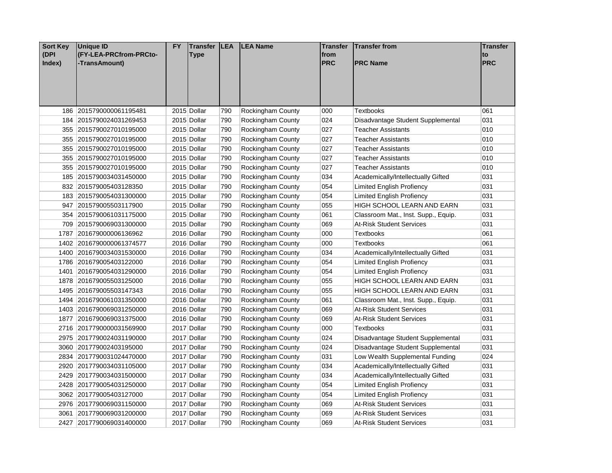| <b>Sort Key</b><br>(DPI<br>Index) | <b>Unique ID</b><br>(FY-LEA-PRCfrom-PRCto-<br>-TransAmount) | <b>FY</b> | <b>Transfer</b><br><b>Type</b> | <b>LEA</b> | <b>LEA Name</b>          | Transfer<br>from<br><b>PRC</b> | <b>Transfer from</b><br><b>PRC Name</b> | <b>Transfer</b><br>to<br>PRC |
|-----------------------------------|-------------------------------------------------------------|-----------|--------------------------------|------------|--------------------------|--------------------------------|-----------------------------------------|------------------------------|
|                                   |                                                             |           |                                |            |                          |                                |                                         |                              |
|                                   | 186 2015790000061195481                                     |           | 2015 Dollar                    | 790        | Rockingham County        | 000                            | <b>Textbooks</b>                        | 061                          |
|                                   | 184 2015790024031269453                                     |           | 2015 Dollar                    | 790        | Rockingham County        | 024                            | Disadvantage Student Supplemental       | 031                          |
|                                   | 355 2015790027010195000                                     |           | 2015 Dollar                    | 790        | <b>Rockingham County</b> | 027                            | Teacher Assistants                      | 010                          |
|                                   | 355 2015790027010195000                                     |           | 2015 Dollar                    | 790        | <b>Rockingham County</b> | 027                            | Teacher Assistants                      | 010                          |
|                                   | 355 2015790027010195000                                     |           | 2015 Dollar                    | 790        | Rockingham County        | 027                            | Teacher Assistants                      | 010                          |
|                                   | 355 2015790027010195000                                     |           | 2015 Dollar                    | 790        | Rockingham County        | 027                            | <b>Teacher Assistants</b>               | 010                          |
|                                   | 355 2015790027010195000                                     |           | 2015 Dollar                    | 790        | Rockingham County        | 027                            | Teacher Assistants                      | 010                          |
|                                   | 185 2015790034031450000                                     |           | 2015 Dollar                    | 790        | Rockingham County        | 034                            | Academically/Intellectually Gifted      | 031                          |
|                                   | 832 201579005403128350                                      |           | 2015 Dollar                    | 790        | Rockingham County        | 054                            | Limited English Profiency               | 031                          |
|                                   | 183 2015790054031300000                                     |           | 2015 Dollar                    | 790        | Rockingham County        | 054                            | <b>Limited English Profiency</b>        | 031                          |
|                                   | 947 201579005503117900                                      |           | 2015 Dollar                    | 790        | Rockingham County        | 055                            | HIGH SCHOOL LEARN AND EARN              | 031                          |
|                                   | 354 2015790061031175000                                     |           | 2015 Dollar                    | 790        | Rockingham County        | 061                            | Classroom Mat., Inst. Supp., Equip.     | 031                          |
|                                   | 709 2015790069031300000                                     |           | 2015 Dollar                    | 790        | Rockingham County        | 069                            | <b>At-Risk Student Services</b>         | 031                          |
|                                   | 1787 201679000006136962                                     |           | 2016 Dollar                    | 790        | Rockingham County        | 000                            | <b>Textbooks</b>                        | 061                          |
|                                   | 1402 2016790000061374577                                    |           | 2016 Dollar                    | 790        | Rockingham County        | 000                            | <b>Textbooks</b>                        | 061                          |
|                                   | 1400 2016790034031530000                                    |           | 2016 Dollar                    | 790        | Rockingham County        | 034                            | Academically/Intellectually Gifted      | 031                          |
|                                   | 1786 201679005403122000                                     |           | 2016 Dollar                    | 790        | Rockingham County        | 054                            | Limited English Profiency               | 031                          |
|                                   | 1401 2016790054031290000                                    |           | 2016 Dollar                    | 790        | Rockingham County        | 054                            | <b>Limited English Profiency</b>        | 031                          |
|                                   | 1878 201679005503125000                                     |           | 2016 Dollar                    | 790        | Rockingham County        | 055                            | HIGH SCHOOL LEARN AND EARN              | 031                          |
|                                   | 1495 201679005503147343                                     |           | 2016 Dollar                    | 790        | Rockingham County        | 055                            | HIGH SCHOOL LEARN AND EARN              | 031                          |
|                                   | 1494 2016790061031350000                                    |           | 2016 Dollar                    | 790        | Rockingham County        | 061                            | Classroom Mat., Inst. Supp., Equip.     | 031                          |
|                                   | 1403 2016790069031250000                                    |           | 2016 Dollar                    | 790        | Rockingham County        | 069                            | <b>At-Risk Student Services</b>         | 031                          |
|                                   | 1877 2016790069031375000                                    |           | 2016 Dollar                    | 790        | Rockingham County        | 069                            | <b>At-Risk Student Services</b>         | 031                          |
|                                   | 2716 2017790000031569900                                    |           | 2017 Dollar                    | 790        | Rockingham County        | 000                            | Textbooks                               | 031                          |
|                                   | 2975 2017790024031190000                                    |           | 2017 Dollar                    | 790        | Rockingham County        | 024                            | Disadvantage Student Supplemental       | 031                          |
|                                   | 3060 201779002403195000                                     |           | 2017 Dollar                    | 790        | Rockingham County        | 024                            | Disadvantage Student Supplemental       | 031                          |
|                                   | 2834 2017790031024470000                                    |           | 2017 Dollar                    | 790        | Rockingham County        | 031                            | Low Wealth Supplemental Funding         | 024                          |
|                                   | 2920 2017790034031105000                                    |           | 2017 Dollar                    | 790        | Rockingham County        | 034                            | Academically/Intellectually Gifted      | 031                          |
|                                   | 2429 2017790034031500000                                    |           | 2017 Dollar                    | 790        | Rockingham County        | 034                            | Academically/Intellectually Gifted      | 031                          |
|                                   | 2428 2017790054031250000                                    |           | 2017 Dollar                    | 790        | Rockingham County        | 054                            | <b>Limited English Profiency</b>        | 031                          |
|                                   | 3062 201779005403127000                                     |           | 2017 Dollar                    | 790        | Rockingham County        | 054                            | Limited English Profiency               | 031                          |
|                                   | 2976 2017790069031150000                                    |           | 2017 Dollar                    | 790        | Rockingham County        | 069                            | <b>At-Risk Student Services</b>         | 031                          |
|                                   | 3061 2017790069031200000                                    |           | 2017 Dollar                    | 790        | Rockingham County        | 069                            | At-Risk Student Services                | 031                          |
|                                   | 2427 2017790069031400000                                    |           | 2017 Dollar                    | 790        | Rockingham County        | 069                            | At-Risk Student Services                | 031                          |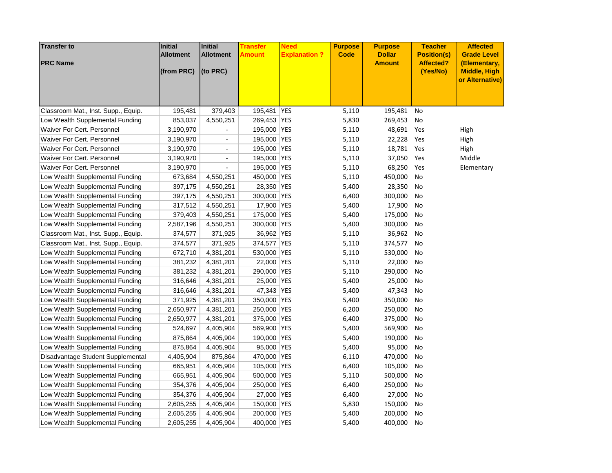| <b>Transfer to</b>                  | <b>Initial</b><br><b>Allotment</b> | Initial<br><b>Allotment</b> | Transfer<br>Amount | <b>Need</b><br><b>Explanation?</b> | <b>Purpose</b><br><b>Code</b> | <b>Purpose</b><br><b>Dollar</b> | <b>Teacher</b><br><b>Position(s)</b> | <b>Affected</b><br><b>Grade Level</b>                  |
|-------------------------------------|------------------------------------|-----------------------------|--------------------|------------------------------------|-------------------------------|---------------------------------|--------------------------------------|--------------------------------------------------------|
| <b>PRC Name</b>                     | (from PRC)                         | (to PRC)                    |                    |                                    |                               | <b>Amount</b>                   | <b>Affected?</b><br>(Yes/No)         | (Elementary,<br><b>Middle, High</b><br>or Alternative) |
|                                     |                                    |                             |                    |                                    |                               |                                 |                                      |                                                        |
| Classroom Mat., Inst. Supp., Equip. | 195,481                            | 379,403                     | 195,481            | <b>YES</b>                         | 5,110                         | 195,481                         | No                                   |                                                        |
| Low Wealth Supplemental Funding     | 853,037                            | 4,550,251                   | 269,453            | <b>YES</b>                         | 5,830                         | 269,453                         | No                                   |                                                        |
| Waiver For Cert. Personnel          | 3,190,970                          |                             | 195,000 YES        |                                    | 5,110                         | 48,691                          | Yes                                  | High                                                   |
| Waiver For Cert. Personnel          | 3,190,970                          | $\blacksquare$              | 195,000 YES        |                                    | 5,110                         | 22,228                          | Yes                                  | High                                                   |
| Waiver For Cert. Personnel          | 3,190,970                          |                             | 195,000 YES        |                                    | 5,110                         | 18,781                          | Yes                                  | High                                                   |
| Waiver For Cert. Personnel          | 3,190,970                          | $\overline{\phantom{a}}$    | 195,000 YES        |                                    | 5,110                         | 37,050                          | Yes                                  | Middle                                                 |
| Waiver For Cert. Personnel          | 3,190,970                          | $\overline{\phantom{a}}$    | 195,000 YES        |                                    | 5,110                         | 68,250                          | Yes                                  | Elementary                                             |
| Low Wealth Supplemental Funding     | 673,684                            | 4,550,251                   | 450,000            | <b>YES</b>                         | 5,110                         | 450,000                         | No                                   |                                                        |
| Low Wealth Supplemental Funding     | 397,175                            | 4,550,251                   | 28,350 YES         |                                    | 5,400                         | 28,350                          | No                                   |                                                        |
| Low Wealth Supplemental Funding     | 397,175                            | 4,550,251                   | 300,000            | YES                                | 6,400                         | 300,000                         | No                                   |                                                        |
| Low Wealth Supplemental Funding     | 317,512                            | 4,550,251                   | 17,900 YES         |                                    | 5,400                         | 17,900                          | No                                   |                                                        |
| Low Wealth Supplemental Funding     | 379,403                            | 4,550,251                   | 175,000            | <b>YES</b>                         | 5,400                         | 175,000                         | No                                   |                                                        |
| Low Wealth Supplemental Funding     | 2,587,196                          | 4,550,251                   | 300,000 YES        |                                    | 5,400                         | 300,000                         | No                                   |                                                        |
| Classroom Mat., Inst. Supp., Equip. | 374,577                            | 371,925                     | 36,962 YES         |                                    | 5,110                         | 36,962                          | No                                   |                                                        |
| Classroom Mat., Inst. Supp., Equip. | 374,577                            | 371,925                     | 374,577            | <b>YES</b>                         | 5,110                         | 374,577                         | No                                   |                                                        |
| Low Wealth Supplemental Funding     | 672,710                            | 4,381,201                   | 530,000            | <b>YES</b>                         | 5,110                         | 530,000                         | No                                   |                                                        |
| Low Wealth Supplemental Funding     | 381,232                            | 4,381,201                   | 22,000 YES         |                                    | 5,110                         | 22,000                          | No                                   |                                                        |
| Low Wealth Supplemental Funding     | 381,232                            | 4,381,201                   | 290,000            | <b>YES</b>                         | 5,110                         | 290,000                         | No                                   |                                                        |
| Low Wealth Supplemental Funding     | 316,646                            | 4,381,201                   | 25,000 YES         |                                    | 5,400                         | 25,000                          | No                                   |                                                        |
| Low Wealth Supplemental Funding     | 316,646                            | 4,381,201                   | 47,343 YES         |                                    | 5,400                         | 47,343                          | No                                   |                                                        |
| Low Wealth Supplemental Funding     | 371,925                            | 4,381,201                   | 350,000            | YES                                | 5,400                         | 350,000                         | No                                   |                                                        |
| Low Wealth Supplemental Funding     | 2,650,977                          | 4,381,201                   | 250,000            | YES                                | 6,200                         | 250,000                         | No                                   |                                                        |
| Low Wealth Supplemental Funding     | 2,650,977                          | 4,381,201                   | 375,000 YES        |                                    | 6,400                         | 375,000                         | No                                   |                                                        |
| Low Wealth Supplemental Funding     | 524,697                            | 4,405,904                   | 569,900            | <b>YES</b>                         | 5,400                         | 569,900                         | No                                   |                                                        |
| Low Wealth Supplemental Funding     | 875,864                            | 4,405,904                   | 190,000            | <b>YES</b>                         | 5,400                         | 190,000                         | No                                   |                                                        |
| Low Wealth Supplemental Funding     | 875,864                            | 4,405,904                   | 95,000 YES         |                                    | 5,400                         | 95,000                          | No                                   |                                                        |
| Disadvantage Student Supplemental   | 4,405,904                          | 875,864                     | 470,000 YES        |                                    | 6,110                         | 470,000                         | No                                   |                                                        |
| Low Wealth Supplemental Funding     | 665,951                            | 4,405,904                   | 105,000            | YES                                | 6,400                         | 105,000                         | No                                   |                                                        |
| Low Wealth Supplemental Funding     | 665,951                            | 4,405,904                   | 500,000            | <b>YES</b>                         | 5,110                         | 500,000                         | No                                   |                                                        |
| Low Wealth Supplemental Funding     | 354,376                            | 4,405,904                   | 250,000 YES        |                                    | 6,400                         | 250,000                         | No                                   |                                                        |
| Low Wealth Supplemental Funding     | 354,376                            | 4,405,904                   | 27,000             | YES                                | 6,400                         | 27,000                          | No                                   |                                                        |
| Low Wealth Supplemental Funding     | 2,605,255                          | 4,405,904                   | 150,000 YES        |                                    | 5,830                         | 150,000                         | No                                   |                                                        |
| Low Wealth Supplemental Funding     | 2,605,255                          | 4,405,904                   | 200,000 YES        |                                    | 5,400                         | 200,000                         | No                                   |                                                        |
| Low Wealth Supplemental Funding     | 2,605,255                          | 4,405,904                   | 400,000 YES        |                                    | 5,400                         | 400,000                         | No                                   |                                                        |